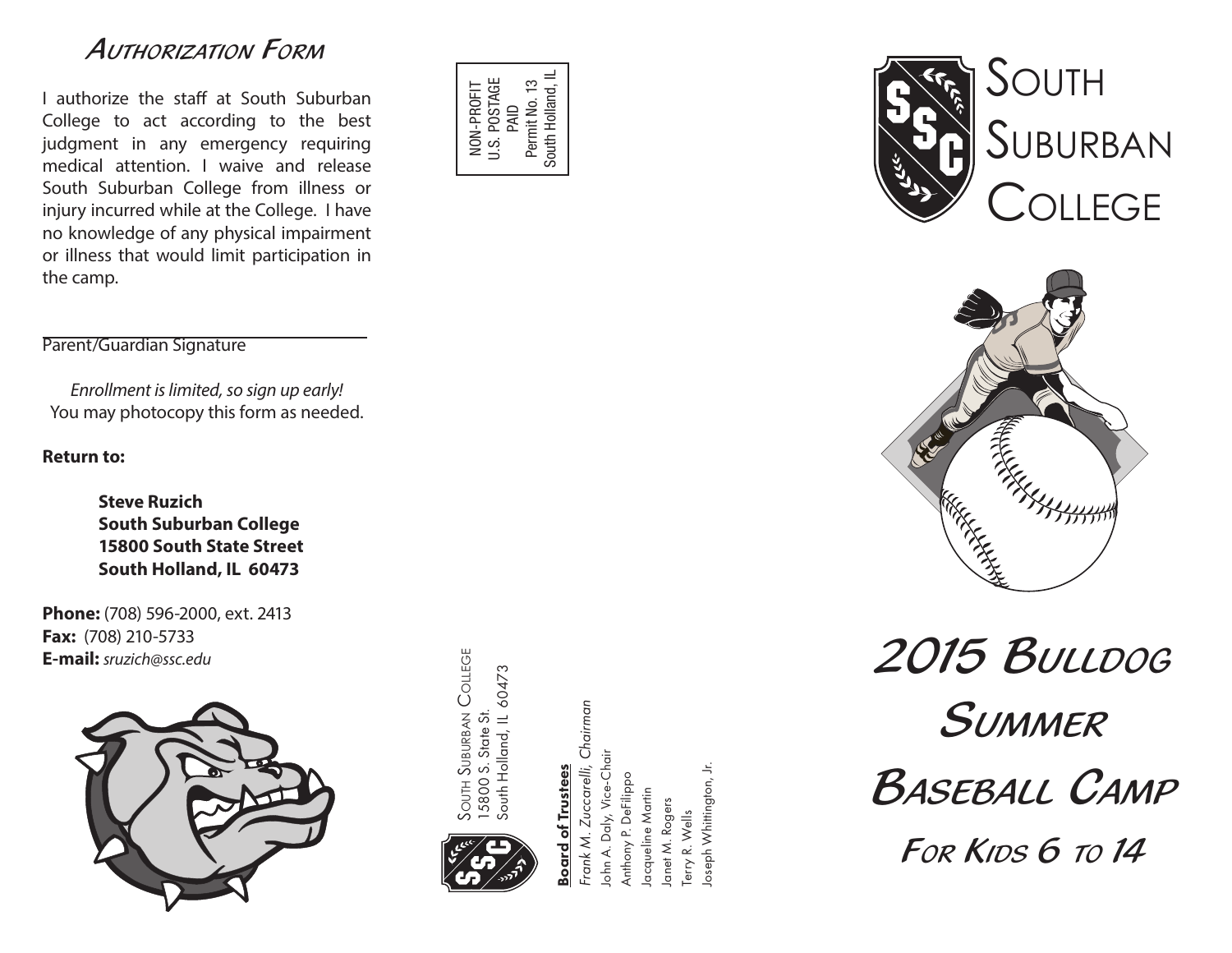## *Authorization Form*

I authorize the staff at South Suburban College to act according to the best judgment in any emergency requiring medical attention. I waive and release South Suburban College from illness or injury incurred while at the College. I have no knowledge of any physical impairment or illness that would limit participation in the camp.



### Parent/Guardian Signature

*Enrollment is limited, so sign up early!* You may photocopy this form as needed.

#### **Return to:**

**Steve Ruzich South Suburban College 15800 South State Street South Holland, IL 60473**

**Phone:** (708) 596-2000, ext. 2413 **Fax:** (708) 210-5733 **E-mail:** *sruzich@ssc.edu*



**SOUTH SUBURBAN COLLEGE** South Suburban College 15800 S. State St.<br>South Holland, IL 60473 South Holland, IL 60473 15800 S. State St.



# **Board of Trustees** Board of Trustees

Frank M. Zuccarelli, Chairman *Frank M. Zuccarelli, Chairman* Iohn A. Daly, Vice-Chair John A. Daly, Vice-Chair oseph Whittington, Jr. Joseph Whittington, Jr.Anthony P. DeFilippo Anthony P. DeFilippc acqueline Martin Jacqueline Martin anet M. Rogers Janet M. Rogers Terry R. Wells Terry R. Wells



*2015 Bulldog Summer* **B**ASEBALL CAMP *For Kids 6 to 14*